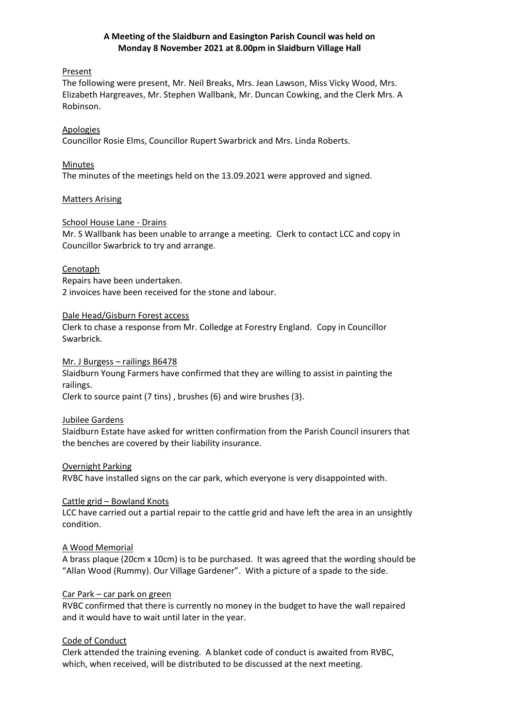## **A Meeting of the Slaidburn and Easington Parish Council was held on Monday 8 November 2021 at 8.00pm in Slaidburn Village Hall**

## Present

The following were present, Mr. Neil Breaks, Mrs. Jean Lawson, Miss Vicky Wood, Mrs. Elizabeth Hargreaves, Mr. Stephen Wallbank, Mr. Duncan Cowking, and the Clerk Mrs. A Robinson.

# Apologies

Councillor Rosie Elms, Councillor Rupert Swarbrick and Mrs. Linda Roberts.

# Minutes

The minutes of the meetings held on the 13.09.2021 were approved and signed.

# Matters Arising

# School House Lane - Drains

Mr. S Wallbank has been unable to arrange a meeting. Clerk to contact LCC and copy in Councillor Swarbrick to try and arrange.

## **Cenotaph**

Repairs have been undertaken. 2 invoices have been received for the stone and labour.

# Dale Head/Gisburn Forest access

Clerk to chase a response from Mr. Colledge at Forestry England. Copy in Councillor Swarbrick.

## Mr. J Burgess – railings B6478

Slaidburn Young Farmers have confirmed that they are willing to assist in painting the railings.

Clerk to source paint (7 tins) , brushes (6) and wire brushes (3).

## Jubilee Gardens

Slaidburn Estate have asked for written confirmation from the Parish Council insurers that the benches are covered by their liability insurance.

## **Overnight Parking**

RVBC have installed signs on the car park, which everyone is very disappointed with.

## Cattle grid – Bowland Knots

LCC have carried out a partial repair to the cattle grid and have left the area in an unsightly condition.

## A Wood Memorial

A brass plaque (20cm x 10cm) is to be purchased. It was agreed that the wording should be "Allan Wood (Rummy). Our Village Gardener". With a picture of a spade to the side.

## Car Park – car park on green

RVBC confirmed that there is currently no money in the budget to have the wall repaired and it would have to wait until later in the year.

# Code of Conduct

Clerk attended the training evening. A blanket code of conduct is awaited from RVBC, which, when received, will be distributed to be discussed at the next meeting.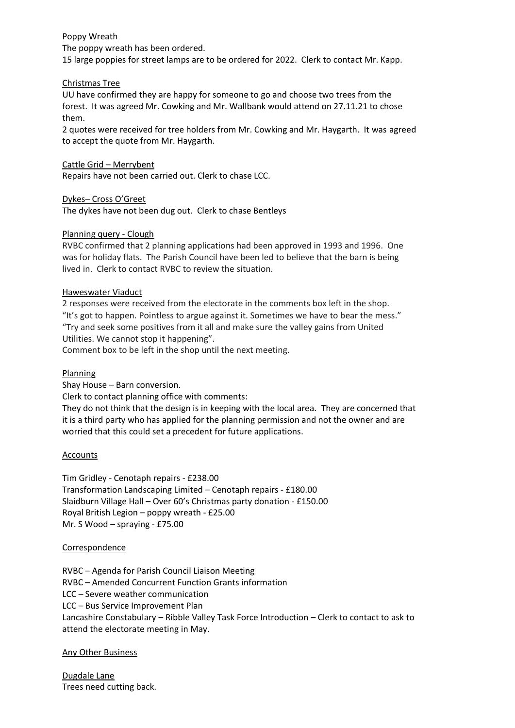## Poppy Wreath

The poppy wreath has been ordered.

15 large poppies for street lamps are to be ordered for 2022. Clerk to contact Mr. Kapp.

## Christmas Tree

UU have confirmed they are happy for someone to go and choose two trees from the forest. It was agreed Mr. Cowking and Mr. Wallbank would attend on 27.11.21 to chose them.

2 quotes were received for tree holders from Mr. Cowking and Mr. Haygarth. It was agreed to accept the quote from Mr. Haygarth.

Cattle Grid – Merrybent

Repairs have not been carried out. Clerk to chase LCC.

Dykes– Cross O'Greet The dykes have not been dug out. Clerk to chase Bentleys

# Planning query - Clough

RVBC confirmed that 2 planning applications had been approved in 1993 and 1996. One was for holiday flats. The Parish Council have been led to believe that the barn is being lived in. Clerk to contact RVBC to review the situation.

# Haweswater Viaduct

2 responses were received from the electorate in the comments box left in the shop. "It's got to happen. Pointless to argue against it. Sometimes we have to bear the mess." "Try and seek some positives from it all and make sure the valley gains from United Utilities. We cannot stop it happening".

Comment box to be left in the shop until the next meeting.

## **Planning**

Shay House – Barn conversion.

Clerk to contact planning office with comments:

They do not think that the design is in keeping with the local area. They are concerned that it is a third party who has applied for the planning permission and not the owner and are worried that this could set a precedent for future applications.

## **Accounts**

Tim Gridley - Cenotaph repairs - £238.00 Transformation Landscaping Limited – Cenotaph repairs - £180.00 Slaidburn Village Hall – Over 60's Christmas party donation - £150.00 Royal British Legion – poppy wreath - £25.00 Mr. S Wood – spraying - £75.00

## Correspondence

RVBC – Agenda for Parish Council Liaison Meeting RVBC – Amended Concurrent Function Grants information LCC – Severe weather communication LCC – Bus Service Improvement Plan Lancashire Constabulary – Ribble Valley Task Force Introduction – Clerk to contact to ask to attend the electorate meeting in May.

## Any Other Business

Dugdale Lane Trees need cutting back.